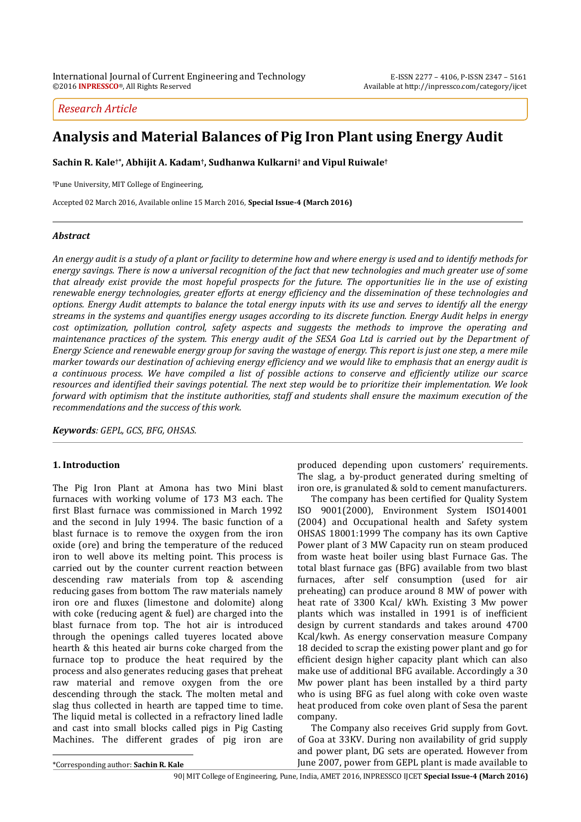*Research Article*

# **Analysis and Material Balances of Pig Iron Plant using Energy Audit**

**Sachin R. Kale†\* , Abhijit A. Kadam† , Sudhanwa Kulkarni† and Vipul Ruiwale†**

**†**Pune University, MIT College of Engineering,

Accepted 02 March 2016, Available online 15 March 2016, **Special Issue-4 (March 2016)**

# *Abstract*

*An energy audit is a study of a plant or facility to determine how and where energy is used and to identify methods for energy savings. There is now a universal recognition of the fact that new technologies and much greater use of some that already exist provide the most hopeful prospects for the future. The opportunities lie in the use of existing renewable energy technologies, greater efforts at energy efficiency and the dissemination of these technologies and options. Energy Audit attempts to balance the total energy inputs with its use and serves to identify all the energy streams in the systems and quantifies energy usages according to its discrete function. Energy Audit helps in energy cost optimization, pollution control, safety aspects and suggests the methods to improve the operating and maintenance practices of the system. This energy audit of the SESA Goa Ltd is carried out by the Department of Energy Science and renewable energy group for saving the wastage of energy. This report is just one step, a mere mile marker towards our destination of achieving energy efficiency and we would like to emphasis that an energy audit is a continuous process. We have compiled a list of possible actions to conserve and efficiently utilize our scarce resources and identified their savings potential. The next step would be to prioritize their implementation. We look forward with optimism that the institute authorities, staff and students shall ensure the maximum execution of the recommendations and the success of this work.*

*Keywords: GEPL, GCS, BFG, OHSAS.*

# **1. Introduction**

<sup>1</sup>The Pig Iron Plant at Amona has two Mini blast furnaces with working volume of 173 M3 each. The first Blast furnace was commissioned in March 1992 and the second in July 1994. The basic function of a blast furnace is to remove the oxygen from the iron oxide (ore) and bring the temperature of the reduced iron to well above its melting point. This process is carried out by the counter current reaction between descending raw materials from top & ascending reducing gases from bottom The raw materials namely iron ore and fluxes (limestone and dolomite) along with coke (reducing agent & fuel) are charged into the blast furnace from top. The hot air is introduced through the openings called tuyeres located above hearth & this heated air burns coke charged from the furnace top to produce the heat required by the process and also generates reducing gases that preheat raw material and remove oxygen from the ore descending through the stack. The molten metal and slag thus collected in hearth are tapped time to time. The liquid metal is collected in a refractory lined ladle and cast into small blocks called pigs in Pig Casting Machines. The different grades of pig iron are produced depending upon customers' requirements. The slag, a by-product generated during smelting of iron ore, is granulated & sold to cement manufacturers.

The company has been certified for Quality System ISO 9001(2000), Environment System ISO14001 (2004) and Occupational health and Safety system OHSAS 18001:1999 The company has its own Captive Power plant of 3 MW Capacity run on steam produced from waste heat boiler using blast Furnace Gas. The total blast furnace gas (BFG) available from two blast furnaces, after self consumption (used for air preheating) can produce around 8 MW of power with heat rate of 3300 Kcal/ kWh. Existing 3 Mw power plants which was installed in 1991 is of inefficient design by current standards and takes around 4700 Kcal/kwh. As energy conservation measure Company 18 decided to scrap the existing power plant and go for efficient design higher capacity plant which can also make use of additional BFG available. Accordingly a 30 Mw power plant has been installed by a third party who is using BFG as fuel along with coke oven waste heat produced from coke oven plant of Sesa the parent company.

The Company also receives Grid supply from Govt. of Goa at 33KV. During non availability of grid supply and power plant, DG sets are operated. However from June 2007, power from GEPL plant is made available to

 $\overline{a}$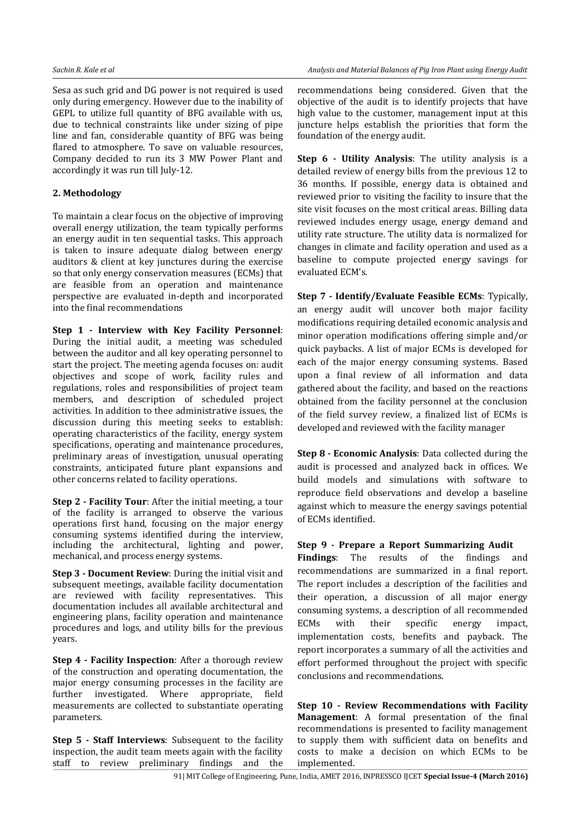Sesa as such grid and DG power is not required is used only during emergency. However due to the inability of GEPL to utilize full quantity of BFG available with us, due to technical constraints like under sizing of pipe line and fan, considerable quantity of BFG was being flared to atmosphere. To save on valuable resources, Company decided to run its 3 MW Power Plant and accordingly it was run till July-12.

# **2. Methodology**

To maintain a clear focus on the objective of improving overall energy utilization, the team typically performs an energy audit in ten sequential tasks. This approach is taken to insure adequate dialog between energy auditors & client at key junctures during the exercise so that only energy conservation measures (ECMs) that are feasible from an operation and maintenance perspective are evaluated in-depth and incorporated into the final recommendations

**Step 1 - Interview with Key Facility Personnel**: During the initial audit, a meeting was scheduled between the auditor and all key operating personnel to start the project. The meeting agenda focuses on: audit objectives and scope of work, facility rules and regulations, roles and responsibilities of project team members, and description of scheduled project activities. In addition to thee administrative issues, the discussion during this meeting seeks to establish: operating characteristics of the facility, energy system specifications, operating and maintenance procedures, preliminary areas of investigation, unusual operating constraints, anticipated future plant expansions and other concerns related to facility operations.

**Step 2 - Facility Tour**: After the initial meeting, a tour of the facility is arranged to observe the various operations first hand, focusing on the major energy consuming systems identified during the interview, including the architectural, lighting and power, mechanical, and process energy systems.

**Step 3 - Document Review**: During the initial visit and subsequent meetings, available facility documentation are reviewed with facility representatives. This documentation includes all available architectural and engineering plans, facility operation and maintenance procedures and logs, and utility bills for the previous years.

**Step 4 - Facility Inspection**: After a thorough review of the construction and operating documentation, the major energy consuming processes in the facility are further investigated. Where appropriate, field measurements are collected to substantiate operating parameters.

**Step 5 - Staff Interviews:** Subsequent to the facility inspection, the audit team meets again with the facility staff to review preliminary findings and the

recommendations being considered. Given that the objective of the audit is to identify projects that have high value to the customer, management input at this juncture helps establish the priorities that form the foundation of the energy audit.

**Step 6 - Utility Analysis**: The utility analysis is a detailed review of energy bills from the previous 12 to 36 months. If possible, energy data is obtained and reviewed prior to visiting the facility to insure that the site visit focuses on the most critical areas. Billing data reviewed includes energy usage, energy demand and utility rate structure. The utility data is normalized for changes in climate and facility operation and used as a baseline to compute projected energy savings for evaluated ECM's.

**Step 7 - Identify/Evaluate Feasible ECMs**: Typically, an energy audit will uncover both major facility modifications requiring detailed economic analysis and minor operation modifications offering simple and/or quick paybacks. A list of major ECMs is developed for each of the major energy consuming systems. Based upon a final review of all information and data gathered about the facility, and based on the reactions obtained from the facility personnel at the conclusion of the field survey review, a finalized list of ECMs is developed and reviewed with the facility manager

**Step 8 - Economic Analysis**: Data collected during the audit is processed and analyzed back in offices. We build models and simulations with software to reproduce field observations and develop a baseline against which to measure the energy savings potential of ECMs identified.

# **Step 9 - Prepare a Report Summarizing Audit**

**Findings**: The results of the findings and recommendations are summarized in a final report. The report includes a description of the facilities and their operation, a discussion of all major energy consuming systems, a description of all recommended ECMs with their specific energy impact, implementation costs, benefits and payback. The report incorporates a summary of all the activities and effort performed throughout the project with specific conclusions and recommendations.

**Step 10 - Review Recommendations with Facility Management**: A formal presentation of the final recommendations is presented to facility management to supply them with sufficient data on benefits and costs to make a decision on which ECMs to be implemented.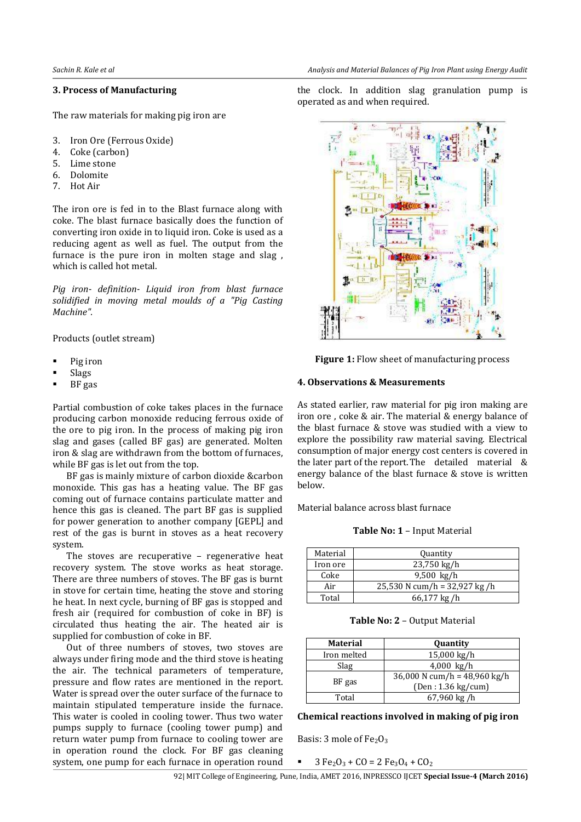### **3. Process of Manufacturing**

The raw materials for making pig iron are

- 3. Iron Ore (Ferrous Oxide)
- 4. Coke (carbon)
- 5. Lime stone
- 6. Dolomite
- 7. Hot Air

The iron ore is fed in to the Blast furnace along with coke. The blast furnace basically does the function of converting iron oxide in to liquid iron. Coke is used as a reducing agent as well as fuel. The output from the furnace is the pure iron in molten stage and slag , which is called hot metal.

*Pig iron- definition- Liquid iron from blast furnace solidified in moving metal moulds of a "Pig Casting Machine".*

Products (outlet stream)

- Pig iron
- Slags
- BF gas

Partial combustion of coke takes places in the furnace producing carbon monoxide reducing ferrous oxide of the ore to pig iron. In the process of making pig iron slag and gases (called BF gas) are generated. Molten iron & slag are withdrawn from the bottom of furnaces, while BF gas is let out from the top.

BF gas is mainly mixture of carbon dioxide &carbon monoxide. This gas has a heating value. The BF gas coming out of furnace contains particulate matter and hence this gas is cleaned. The part BF gas is supplied for power generation to another company [GEPL] and rest of the gas is burnt in stoves as a heat recovery system.

The stoves are recuperative – regenerative heat recovery system. The stove works as heat storage. There are three numbers of stoves. The BF gas is burnt in stove for certain time, heating the stove and storing he heat. In next cycle, burning of BF gas is stopped and fresh air (required for combustion of coke in BF) is circulated thus heating the air. The heated air is supplied for combustion of coke in BF.

Out of three numbers of stoves, two stoves are always under firing mode and the third stove is heating the air. The technical parameters of temperature, pressure and flow rates are mentioned in the report. Water is spread over the outer surface of the furnace to maintain stipulated temperature inside the furnace. This water is cooled in cooling tower. Thus two water pumps supply to furnace (cooling tower pump) and return water pump from furnace to cooling tower are in operation round the clock. For BF gas cleaning system, one pump for each furnace in operation round the clock. In addition slag granulation pump is operated as and when required.



**Figure 1:** Flow sheet of manufacturing process

### **4. Observations & Measurements**

As stated earlier, raw material for pig iron making are iron ore , coke & air. The material & energy balance of the blast furnace & stove was studied with a view to explore the possibility raw material saving. Electrical consumption of major energy cost centers is covered in the later part of the report.The detailed material & energy balance of the blast furnace & stove is written below.

Material balance across blast furnace

**Table No: 1** – Input Material

| Material | Quantity                       |  |  |
|----------|--------------------------------|--|--|
| Iron ore | 23,750 kg/h                    |  |  |
| Coke     | $9,500 \text{ kg/h}$           |  |  |
| Air      | 25,530 N cum/h = $32,927$ kg/h |  |  |
| Total    | 66,177 kg/h                    |  |  |

**Table No: 2** – Output Material

| Material    | Quantity                                                     |
|-------------|--------------------------------------------------------------|
| Iron melted | $15,000 \text{ kg/h}$                                        |
| Slag        | $4,000 \text{ kg/h}$                                         |
| BF gas      | 36,000 N cum/h = $48,960 \text{ kg/h}$<br>(Den: 1.36 kg/cum) |
| Total       | $67,960$ kg /h                                               |

#### **Chemical reactions involved in making of pig iron**

Basis: 3 mole of  $Fe<sub>2</sub>O<sub>3</sub>$ 

 $3 Fe<sub>2</sub>O<sub>3</sub> + CO = 2 Fe<sub>3</sub>O<sub>4</sub> + CO<sub>2</sub>$ 

92| MIT College of Engineering, Pune, India, AMET 2016, INPRESSCO IJCET **Special Issue-4 (March 2016)**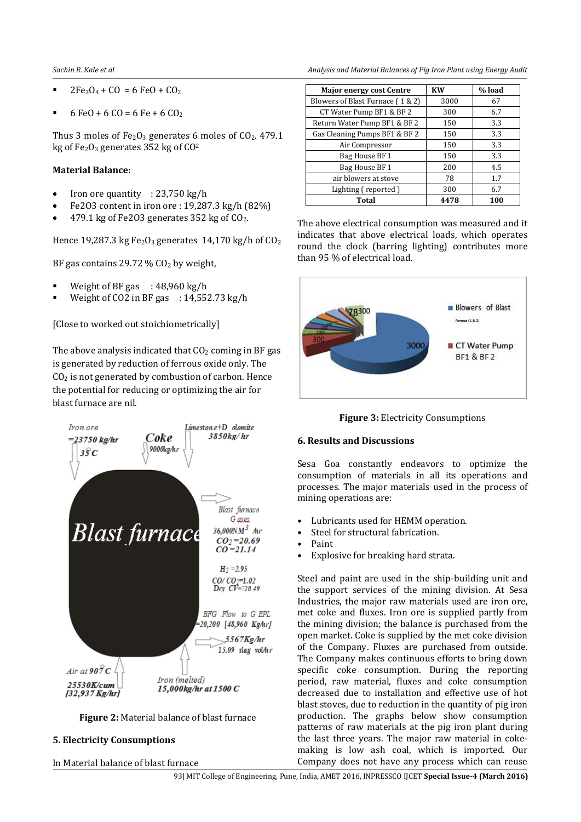- $2Fe<sub>3</sub>O<sub>4</sub> + CO = 6 FeO + CO<sub>2</sub>$
- $6 \text{ FeO} + 6 \text{ CO} = 6 \text{ Fe} + 6 \text{ CO}_2$

Thus 3 moles of  $Fe<sub>2</sub>O<sub>3</sub>$  generates 6 moles of  $CO<sub>2</sub>$ . 479.1 kg of  $Fe<sub>2</sub>O<sub>3</sub>$  generates 352 kg of  $CO<sup>2</sup>$ 

# **Material Balance:**

- Iron ore quantity : 23,750 kg/h
- Fe2O3 content in iron ore : 19,287.3 kg/h (82%)
- 479.1 kg of Fe2O3 generates 352 kg of CO2.

Hence 19,287.3 kg Fe<sub>2</sub>O<sub>3</sub> generates 14,170 kg/h of  $CO<sub>2</sub>$ 

BF gas contains 29.72  $\%$  CO<sub>2</sub> by weight,

- Weight of BF gas  $: 48,960 \text{ kg/h}$
- Weight of CO2 in BF gas  $: 14,552.73$  kg/h

[Close to worked out stoichiometrically]

The above analysis indicated that  $CO<sub>2</sub>$  coming in BF gas is generated by reduction of ferrous oxide only. The  $CO<sub>2</sub>$  is not generated by combustion of carbon. Hence the potential for reducing or optimizing the air for blast furnace are nil.





#### **5. Electricity Consumptions**

In Material balance of blast furnace

*Sachin R. Kale et al Analysis and Material Balances of Pig Iron Plant using Energy Audit*

| <b>Major energy cost Centre</b>  | <b>KW</b> | % load |
|----------------------------------|-----------|--------|
| Blowers of Blast Furnace (1 & 2) | 3000      | 67     |
| CT Water Pump BF1 & BF2          | 300       | 6.7    |
| Return Water Pump BF1 & BF2      | 150       | 3.3    |
| Gas Cleaning Pumps BF1 & BF2     | 150       | 3.3    |
| Air Compressor                   | 150       | 3.3    |
| Bag House BF 1                   | 150       | 3.3    |
| Bag House BF 1                   | 200       | 4.5    |
| air blowers at stove             | 78        | 1.7    |
| Lighting (reported)              | 300       | 6.7    |
| Total                            | 4478      | 100    |

The above electrical consumption was measured and it indicates that above electrical loads, which operates round the clock (barring lighting) contributes more than 95 % of electrical load.



**Figure 3:** Electricity Consumptions

#### **6. Results and Discussions**

Sesa Goa constantly endeavors to optimize the consumption of materials in all its operations and processes. The major materials used in the process of mining operations are:

- Lubricants used for HEMM operation.
- Steel for structural fabrication.
- Paint
- Explosive for breaking hard strata.

Steel and paint are used in the ship-building unit and the support services of the mining division. At Sesa Industries, the major raw materials used are iron ore, met coke and fluxes. Iron ore is supplied partly from the mining division; the balance is purchased from the open market. Coke is supplied by the met coke division of the Company. Fluxes are purchased from outside. The Company makes continuous efforts to bring down specific coke consumption. During the reporting period, raw material, fluxes and coke consumption decreased due to installation and effective use of hot blast stoves, due to reduction in the quantity of pig iron production. The graphs below show consumption patterns of raw materials at the pig iron plant during the last three years. The major raw material in cokemaking is low ash coal, which is imported. Our Company does not have any process which can reuse

93| MIT College of Engineering, Pune, India, AMET 2016, INPRESSCO IJCET **Special Issue-4 (March 2016)**